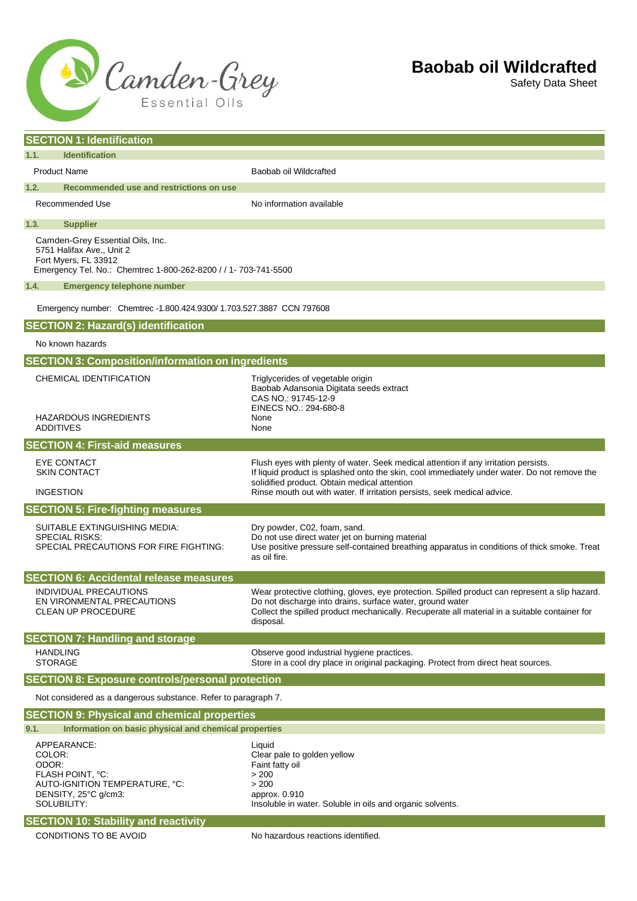

Safety Data Sheet

| <b>SECTION 1: Identification</b>                                                                                                                                           |                                                                                                                                                                                                                                                                           |  |
|----------------------------------------------------------------------------------------------------------------------------------------------------------------------------|---------------------------------------------------------------------------------------------------------------------------------------------------------------------------------------------------------------------------------------------------------------------------|--|
| 1.1.<br><b>Identification</b>                                                                                                                                              |                                                                                                                                                                                                                                                                           |  |
| <b>Product Name</b>                                                                                                                                                        | Baobab oil Wildcrafted                                                                                                                                                                                                                                                    |  |
| 1.2.<br>Recommended use and restrictions on use                                                                                                                            |                                                                                                                                                                                                                                                                           |  |
| Recommended Use                                                                                                                                                            | No information available                                                                                                                                                                                                                                                  |  |
| 1.3.<br><b>Supplier</b>                                                                                                                                                    |                                                                                                                                                                                                                                                                           |  |
| Camden-Grey Essential Oils, Inc.<br>5751 Halifax Ave., Unit 2<br>Fort Myers, FL 33912<br>Emergency Tel. No.: Chemtrec 1-800-262-8200 / / 1- 703-741-5500                   |                                                                                                                                                                                                                                                                           |  |
| 1.4.<br><b>Emergency telephone number</b>                                                                                                                                  |                                                                                                                                                                                                                                                                           |  |
| Emergency number: Chemtrec -1.800.424.9300/ 1.703.527.3887 CCN 797608                                                                                                      |                                                                                                                                                                                                                                                                           |  |
| <b>SECTION 2: Hazard(s) identification</b>                                                                                                                                 |                                                                                                                                                                                                                                                                           |  |
| No known hazards                                                                                                                                                           |                                                                                                                                                                                                                                                                           |  |
| <b>SECTION 3: Composition/information on ingredients</b>                                                                                                                   |                                                                                                                                                                                                                                                                           |  |
| CHEMICAL IDENTIFICATION<br><b>HAZARDOUS INGREDIENTS</b><br><b>ADDITIVES</b>                                                                                                | Triglycerides of vegetable origin<br>Baobab Adansonia Digitata seeds extract<br>CAS NO.: 91745-12-9<br>EINECS NO.: 294-680-8<br>None<br>None                                                                                                                              |  |
| <b>SECTION 4: First-aid measures</b>                                                                                                                                       |                                                                                                                                                                                                                                                                           |  |
| <b>EYE CONTACT</b><br><b>SKIN CONTACT</b>                                                                                                                                  | Flush eyes with plenty of water. Seek medical attention if any irritation persists.<br>If liquid product is splashed onto the skin, cool immediately under water. Do not remove the<br>solidified product. Obtain medical attention                                       |  |
| <b>INGESTION</b>                                                                                                                                                           | Rinse mouth out with water. If irritation persists, seek medical advice.                                                                                                                                                                                                  |  |
| <b>SECTION 5: Fire-fighting measures</b>                                                                                                                                   |                                                                                                                                                                                                                                                                           |  |
| SUITABLE EXTINGUISHING MEDIA:<br><b>SPECIAL RISKS:</b><br>SPECIAL PRECAUTIONS FOR FIRE FIGHTING:                                                                           | Dry powder, C02, foam, sand.<br>Do not use direct water jet on burning material<br>Use positive pressure self-contained breathing apparatus in conditions of thick smoke. Treat<br>as oil fire.                                                                           |  |
| <b>SECTION 6: Accidental release measures</b>                                                                                                                              |                                                                                                                                                                                                                                                                           |  |
| <b>INDIVIDUAL PRECAUTIONS</b><br>EN VIRONMENTAL PRECAUTIONS<br><b>CLEAN UP PROCEDURE</b>                                                                                   | Wear protective clothing, gloves, eye protection. Spilled product can represent a slip hazard.<br>Do not discharge into drains, surface water, ground water<br>Collect the spilled product mechanically. Recuperate all material in a suitable container for<br>disposal. |  |
| <b>SECTION 7: Handling and storage</b>                                                                                                                                     |                                                                                                                                                                                                                                                                           |  |
| <b>HANDLING</b><br><b>STORAGE</b>                                                                                                                                          | Observe good industrial hygiene practices.<br>Store in a cool dry place in original packaging. Protect from direct heat sources.                                                                                                                                          |  |
| <b>SECTION 8: Exposure controls/personal protection</b>                                                                                                                    |                                                                                                                                                                                                                                                                           |  |
| Not considered as a dangerous substance. Refer to paragraph 7.                                                                                                             |                                                                                                                                                                                                                                                                           |  |
| <b>SECTION 9: Physical and chemical properties</b>                                                                                                                         |                                                                                                                                                                                                                                                                           |  |
| 9.1.<br>Information on basic physical and chemical properties                                                                                                              |                                                                                                                                                                                                                                                                           |  |
| APPEARANCE:<br>COLOR:<br>ODOR:<br>FLASH POINT, °C:<br>AUTO-IGNITION TEMPERATURE, °C:<br>DENSITY, 25°C g/cm3:<br>SOLUBILITY:<br><b>SECTION 10: Stability and reactivity</b> | Liquid<br>Clear pale to golden yellow<br>Faint fatty oil<br>> 200<br>> 200<br>approx. 0.910<br>Insoluble in water. Soluble in oils and organic solvents.                                                                                                                  |  |
| CONDITIONS TO BE AVOID                                                                                                                                                     | No hazardous reactions identified.                                                                                                                                                                                                                                        |  |